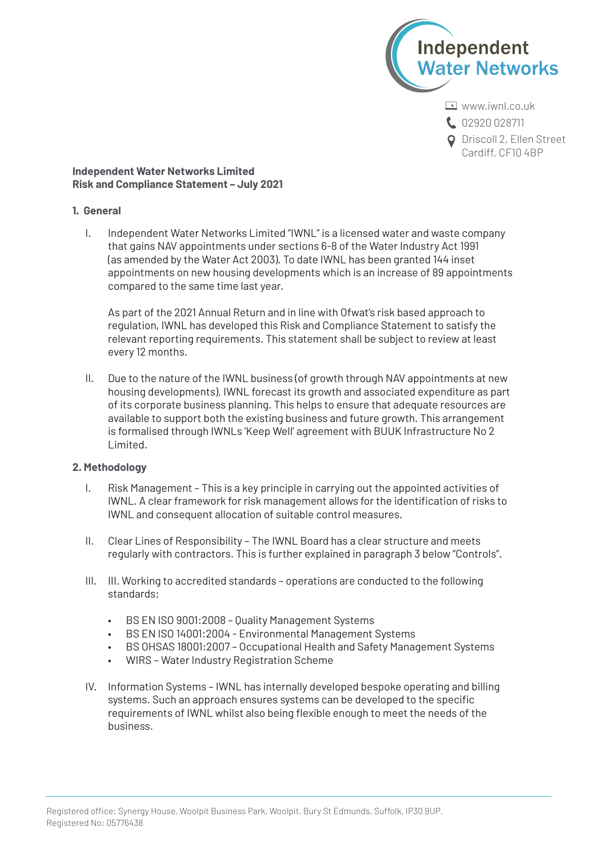

**C.** 02920 028711

**Q** Driscoll 2, Ellen Street Cardiff, CF10 4BP

**Independent Water Networks Limited Risk and Compliance Statement – July 2021**

## **1. General**

I. Independent Water Networks Limited "IWNL" is a licensed water and waste company that gains NAV appointments under sections 6-8 of the Water Industry Act 1991 (as amended by the Water Act 2003). To date IWNL has been granted 144 inset appointments on new housing developments which is an increase of 89 appointments compared to the same time last year.

As part of the 2021 Annual Return and in line with Ofwat's risk based approach to regulation, IWNL has developed this Risk and Compliance Statement to satisfy the relevant reporting requirements. This statement shall be subject to review at least every 12 months.

II. Due to the nature of the IWNL business (of growth through NAV appointments at new housing developments), IWNL forecast its growth and associated expenditure as part of its corporate business planning. This helps to ensure that adequate resources are available to support both the existing business and future growth. This arrangement is formalised through IWNLs 'Keep Well' agreement with BUUK Infrastructure No 2 Limited.

## **2. Methodology**

- I. Risk Management – This is a key principle in carrying out the appointed activities of IWNL. A clear framework for risk management allows for the identification of risks to IWNL and consequent allocation of suitable control measures.
- II. Clear Lines of Responsibility – The IWNL Board has a clear structure and meets regularly with contractors. This is further explained in paragraph 3 below "Controls".
- III. III. Working to accredited standards operations are conducted to the following standards;
	- BS EN ISO 9001:2008 Quality Management Systems
	- BS EN ISO 14001:2004 Environmental Management Systems
	- BS OHSAS 18001:2007 Occupational Health and Safety Management Systems
	- WIRS Water Industry Registration Scheme
- IV. Information Systems IWNL has internally developed bespoke operating and billing systems. Such an approach ensures systems can be developed to the specific requirements of IWNL whilst also being flexible enough to meet the needs of the business.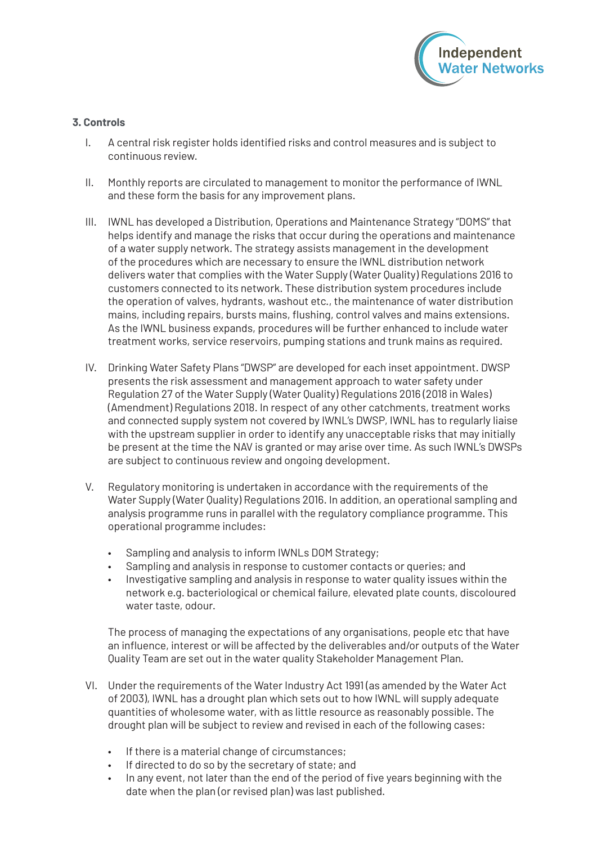

## **3. Controls**

- I. A central risk register holds identified risks and control measures and is subject to continuous review.
- II. Monthly reports are circulated to management to monitor the performance of IWNL and these form the basis for any improvement plans.
- III. IWNL has developed a Distribution, Operations and Maintenance Strategy "DOMS" that helps identify and manage the risks that occur during the operations and maintenance of a water supply network. The strategy assists management in the development of the procedures which are necessary to ensure the IWNL distribution network delivers water that complies with the Water Supply (Water Quality) Regulations 2016 to customers connected to its network. These distribution system procedures include the operation of valves, hydrants, washout etc., the maintenance of water distribution mains, including repairs, bursts mains, flushing, control valves and mains extensions. As the IWNL business expands, procedures will be further enhanced to include water treatment works, service reservoirs, pumping stations and trunk mains as required.
- IV. Drinking Water Safety Plans "DWSP" are developed for each inset appointment. DWSP presents the risk assessment and management approach to water safety under Regulation 27 of the Water Supply (Water Quality) Regulations 2016 (2018 in Wales) (Amendment) Regulations 2018. In respect of any other catchments, treatment works and connected supply system not covered by IWNL's DWSP, IWNL has to regularly liaise with the upstream supplier in order to identify any unacceptable risks that may initially be present at the time the NAV is granted or may arise over time. As such IWNL's DWSPs are subject to continuous review and ongoing development.
- V. Regulatory monitoring is undertaken in accordance with the requirements of the Water Supply (Water Quality) Regulations 2016. In addition, an operational sampling and analysis programme runs in parallel with the regulatory compliance programme. This operational programme includes:
	- Sampling and analysis to inform IWNLs DOM Strategy;
	- Sampling and analysis in response to customer contacts or queries; and
	- Investigative sampling and analysis in response to water quality issues within the network e.g. bacteriological or chemical failure, elevated plate counts, discoloured water taste, odour.

The process of managing the expectations of any organisations, people etc that have an influence, interest or will be affected by the deliverables and/or outputs of the Water Quality Team are set out in the water quality Stakeholder Management Plan.

- VI. Under the requirements of the Water Industry Act 1991 (as amended by the Water Act of 2003), IWNL has a drought plan which sets out to how IWNL will supply adequate quantities of wholesome water, with as little resource as reasonably possible. The drought plan will be subject to review and revised in each of the following cases:
	- If there is a material change of circumstances;
	- If directed to do so by the secretary of state: and
	- In any event, not later than the end of the period of five years beginning with the date when the plan (or revised plan) was last published.